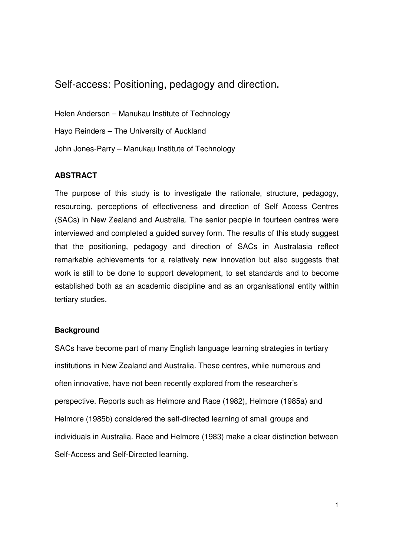# Self-access: Positioning, pedagogy and direction**.**

Helen Anderson – Manukau Institute of Technology Hayo Reinders – The University of Auckland John Jones-Parry – Manukau Institute of Technology

# **ABSTRACT**

The purpose of this study is to investigate the rationale, structure, pedagogy, resourcing, perceptions of effectiveness and direction of Self Access Centres (SACs) in New Zealand and Australia. The senior people in fourteen centres were interviewed and completed a guided survey form. The results of this study suggest that the positioning, pedagogy and direction of SACs in Australasia reflect remarkable achievements for a relatively new innovation but also suggests that work is still to be done to support development, to set standards and to become established both as an academic discipline and as an organisational entity within tertiary studies.

## **Background**

SACs have become part of many English language learning strategies in tertiary institutions in New Zealand and Australia. These centres, while numerous and often innovative, have not been recently explored from the researcher's perspective. Reports such as Helmore and Race (1982), Helmore (1985a) and Helmore (1985b) considered the self-directed learning of small groups and individuals in Australia. Race and Helmore (1983) make a clear distinction between Self-Access and Self-Directed learning.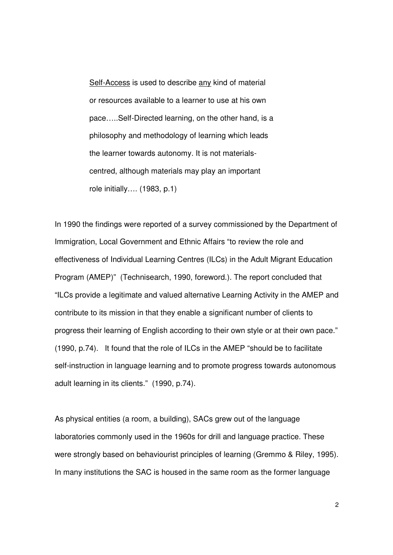Self-Access is used to describe any kind of material or resources available to a learner to use at his own pace…..Self-Directed learning, on the other hand, is a philosophy and methodology of learning which leads the learner towards autonomy. It is not materialscentred, although materials may play an important role initially…. (1983, p.1)

In 1990 the findings were reported of a survey commissioned by the Department of Immigration, Local Government and Ethnic Affairs "to review the role and effectiveness of Individual Learning Centres (ILCs) in the Adult Migrant Education Program (AMEP)" (Technisearch, 1990, foreword.). The report concluded that "ILCs provide a legitimate and valued alternative Learning Activity in the AMEP and contribute to its mission in that they enable a significant number of clients to progress their learning of English according to their own style or at their own pace." (1990, p.74). It found that the role of ILCs in the AMEP "should be to facilitate self-instruction in language learning and to promote progress towards autonomous adult learning in its clients." (1990, p.74).

As physical entities (a room, a building), SACs grew out of the language laboratories commonly used in the 1960s for drill and language practice. These were strongly based on behaviourist principles of learning (Gremmo & Riley, 1995). In many institutions the SAC is housed in the same room as the former language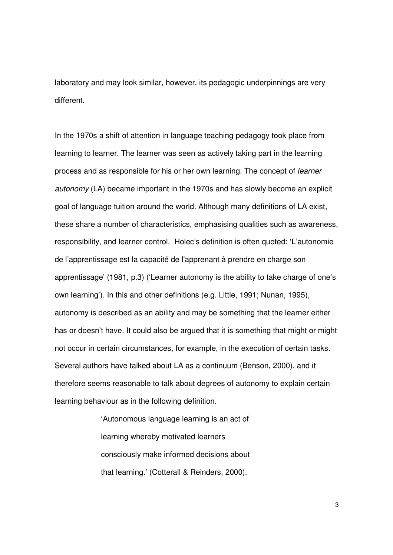laboratory and may look similar, however, its pedagogic underpinnings are very different.

In the 1970s a shift of attention in language teaching pedagogy took place from learning to learner. The learner was seen as actively taking part in the learning process and as responsible for his or her own learning. The concept of learner autonomy (LA) became important in the 1970s and has slowly become an explicit goal of language tuition around the world. Although many definitions of LA exist, these share a number of characteristics, emphasising qualities such as awareness, responsibility, and learner control. Holec's definition is often quoted: 'L'autonomie de l'apprentissage est la capacité de l'apprenant à prendre en charge son apprentissage' (1981, p.3) ('Learner autonomy is the ability to take charge of one's own learning'). In this and other definitions (e.g. Little, 1991; Nunan, 1995), autonomy is described as an ability and may be something that the learner either has or doesn't have. It could also be argued that it is something that might or might not occur in certain circumstances, for example, in the execution of certain tasks. Several authors have talked about LA as a continuum (Benson, 2000), and it therefore seems reasonable to talk about degrees of autonomy to explain certain learning behaviour as in the following definition.

> 'Autonomous language learning is an act of learning whereby motivated learners consciously make informed decisions about that learning.' (Cotterall & Reinders, 2000).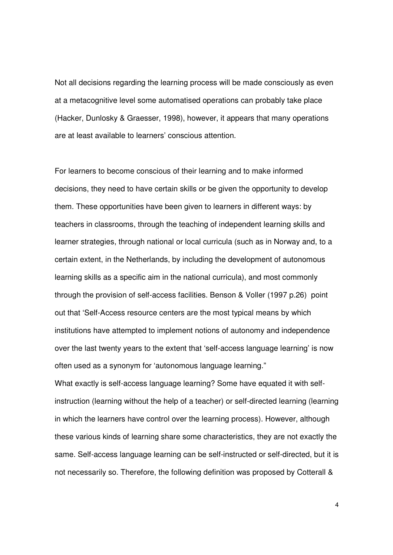Not all decisions regarding the learning process will be made consciously as even at a metacognitive level some automatised operations can probably take place (Hacker, Dunlosky & Graesser, 1998), however, it appears that many operations are at least available to learners' conscious attention.

For learners to become conscious of their learning and to make informed decisions, they need to have certain skills or be given the opportunity to develop them. These opportunities have been given to learners in different ways: by teachers in classrooms, through the teaching of independent learning skills and learner strategies, through national or local curricula (such as in Norway and, to a certain extent, in the Netherlands, by including the development of autonomous learning skills as a specific aim in the national curricula), and most commonly through the provision of self-access facilities. Benson & Voller (1997 p.26) point out that 'Self-Access resource centers are the most typical means by which institutions have attempted to implement notions of autonomy and independence over the last twenty years to the extent that 'self-access language learning' is now often used as a synonym for 'autonomous language learning."

What exactly is self-access language learning? Some have equated it with selfinstruction (learning without the help of a teacher) or self-directed learning (learning in which the learners have control over the learning process). However, although these various kinds of learning share some characteristics, they are not exactly the same. Self-access language learning can be self-instructed or self-directed, but it is not necessarily so. Therefore, the following definition was proposed by Cotterall &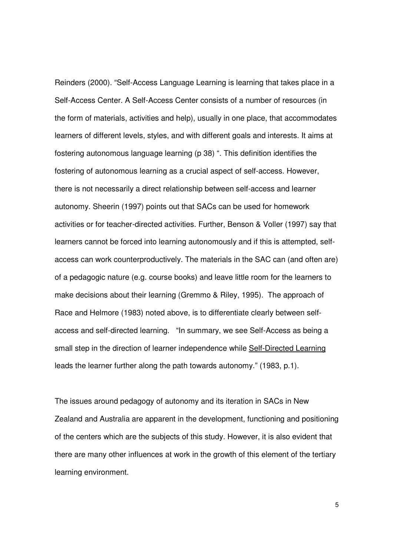Reinders (2000). "Self-Access Language Learning is learning that takes place in a Self-Access Center. A Self-Access Center consists of a number of resources (in the form of materials, activities and help), usually in one place, that accommodates learners of different levels, styles, and with different goals and interests. It aims at fostering autonomous language learning (p 38) ". This definition identifies the fostering of autonomous learning as a crucial aspect of self-access. However, there is not necessarily a direct relationship between self-access and learner autonomy. Sheerin (1997) points out that SACs can be used for homework activities or for teacher-directed activities. Further, Benson & Voller (1997) say that learners cannot be forced into learning autonomously and if this is attempted, selfaccess can work counterproductively. The materials in the SAC can (and often are) of a pedagogic nature (e.g. course books) and leave little room for the learners to make decisions about their learning (Gremmo & Riley, 1995). The approach of Race and Helmore (1983) noted above, is to differentiate clearly between selfaccess and self-directed learning. "In summary, we see Self-Access as being a small step in the direction of learner independence while Self-Directed Learning leads the learner further along the path towards autonomy." (1983, p.1).

The issues around pedagogy of autonomy and its iteration in SACs in New Zealand and Australia are apparent in the development, functioning and positioning of the centers which are the subjects of this study. However, it is also evident that there are many other influences at work in the growth of this element of the tertiary learning environment.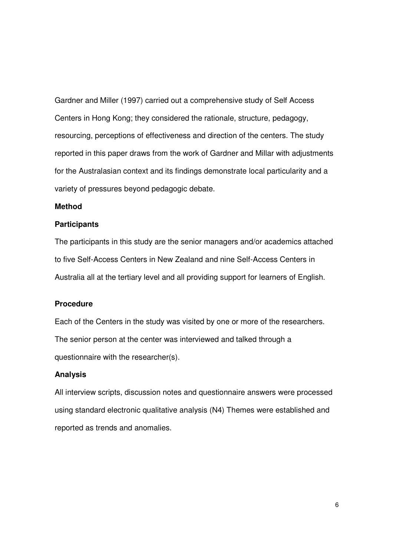Gardner and Miller (1997) carried out a comprehensive study of Self Access Centers in Hong Kong; they considered the rationale, structure, pedagogy, resourcing, perceptions of effectiveness and direction of the centers. The study reported in this paper draws from the work of Gardner and Millar with adjustments for the Australasian context and its findings demonstrate local particularity and a variety of pressures beyond pedagogic debate.

# **Method**

## **Participants**

The participants in this study are the senior managers and/or academics attached to five Self-Access Centers in New Zealand and nine Self-Access Centers in Australia all at the tertiary level and all providing support for learners of English.

# **Procedure**

Each of the Centers in the study was visited by one or more of the researchers. The senior person at the center was interviewed and talked through a questionnaire with the researcher(s).

## **Analysis**

All interview scripts, discussion notes and questionnaire answers were processed using standard electronic qualitative analysis (N4) Themes were established and reported as trends and anomalies.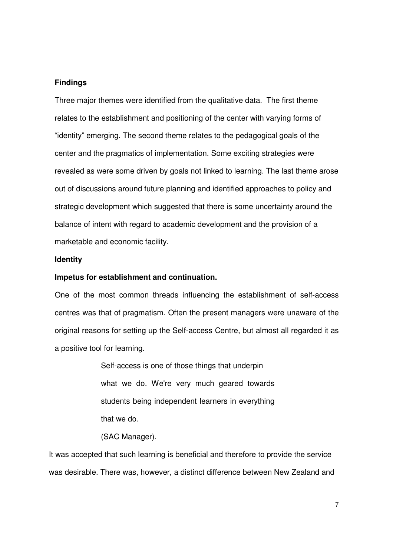## **Findings**

Three major themes were identified from the qualitative data. The first theme relates to the establishment and positioning of the center with varying forms of "identity" emerging. The second theme relates to the pedagogical goals of the center and the pragmatics of implementation. Some exciting strategies were revealed as were some driven by goals not linked to learning. The last theme arose out of discussions around future planning and identified approaches to policy and strategic development which suggested that there is some uncertainty around the balance of intent with regard to academic development and the provision of a marketable and economic facility.

## **Identity**

#### **Impetus for establishment and continuation.**

One of the most common threads influencing the establishment of self-access centres was that of pragmatism. Often the present managers were unaware of the original reasons for setting up the Self-access Centre, but almost all regarded it as a positive tool for learning.

> Self-access is one of those things that underpin what we do. We're very much geared towards students being independent learners in everything that we do.

## (SAC Manager).

It was accepted that such learning is beneficial and therefore to provide the service was desirable. There was, however, a distinct difference between New Zealand and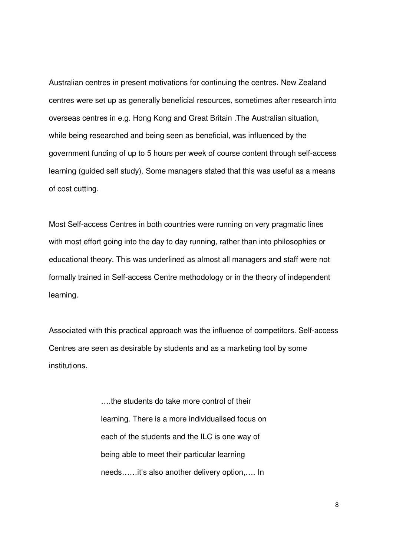Australian centres in present motivations for continuing the centres. New Zealand centres were set up as generally beneficial resources, sometimes after research into overseas centres in e.g. Hong Kong and Great Britain .The Australian situation, while being researched and being seen as beneficial, was influenced by the government funding of up to 5 hours per week of course content through self-access learning (guided self study). Some managers stated that this was useful as a means of cost cutting.

Most Self-access Centres in both countries were running on very pragmatic lines with most effort going into the day to day running, rather than into philosophies or educational theory. This was underlined as almost all managers and staff were not formally trained in Self-access Centre methodology or in the theory of independent learning.

Associated with this practical approach was the influence of competitors. Self-access Centres are seen as desirable by students and as a marketing tool by some institutions.

> ….the students do take more control of their learning. There is a more individualised focus on each of the students and the ILC is one way of being able to meet their particular learning needs……it's also another delivery option,…. In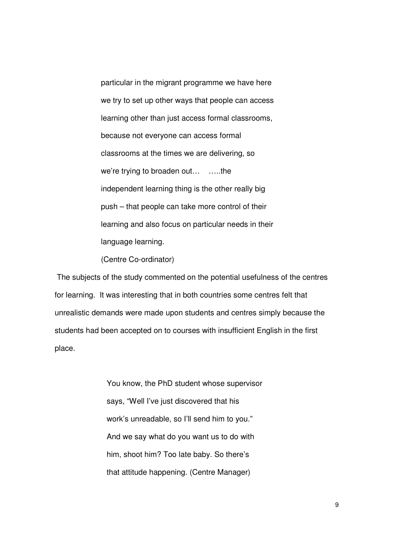particular in the migrant programme we have here we try to set up other ways that people can access learning other than just access formal classrooms, because not everyone can access formal classrooms at the times we are delivering, so we're trying to broaden out… …..the independent learning thing is the other really big push – that people can take more control of their learning and also focus on particular needs in their language learning.

(Centre Co-ordinator)

 The subjects of the study commented on the potential usefulness of the centres for learning. It was interesting that in both countries some centres felt that unrealistic demands were made upon students and centres simply because the students had been accepted on to courses with insufficient English in the first place.

> You know, the PhD student whose supervisor says, "Well I've just discovered that his work's unreadable, so I'll send him to you." And we say what do you want us to do with him, shoot him? Too late baby. So there's that attitude happening. (Centre Manager)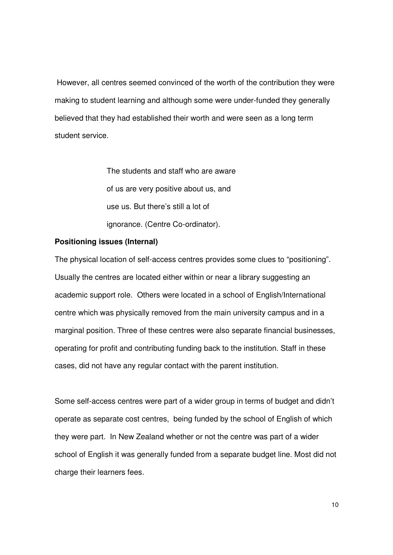However, all centres seemed convinced of the worth of the contribution they were making to student learning and although some were under-funded they generally believed that they had established their worth and were seen as a long term student service.

> The students and staff who are aware of us are very positive about us, and use us. But there's still a lot of ignorance. (Centre Co-ordinator).

# **Positioning issues (Internal)**

The physical location of self-access centres provides some clues to "positioning". Usually the centres are located either within or near a library suggesting an academic support role. Others were located in a school of English/International centre which was physically removed from the main university campus and in a marginal position. Three of these centres were also separate financial businesses, operating for profit and contributing funding back to the institution. Staff in these cases, did not have any regular contact with the parent institution.

Some self-access centres were part of a wider group in terms of budget and didn't operate as separate cost centres, being funded by the school of English of which they were part. In New Zealand whether or not the centre was part of a wider school of English it was generally funded from a separate budget line. Most did not charge their learners fees.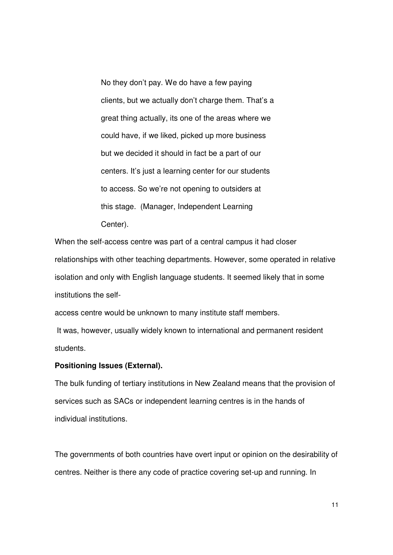No they don't pay. We do have a few paying clients, but we actually don't charge them. That's a great thing actually, its one of the areas where we could have, if we liked, picked up more business but we decided it should in fact be a part of our centers. It's just a learning center for our students to access. So we're not opening to outsiders at this stage. (Manager, Independent Learning Center).

When the self-access centre was part of a central campus it had closer relationships with other teaching departments. However, some operated in relative isolation and only with English language students. It seemed likely that in some institutions the self-

access centre would be unknown to many institute staff members.

 It was, however, usually widely known to international and permanent resident students.

## **Positioning Issues (External).**

The bulk funding of tertiary institutions in New Zealand means that the provision of services such as SACs or independent learning centres is in the hands of individual institutions.

The governments of both countries have overt input or opinion on the desirability of centres. Neither is there any code of practice covering set-up and running. In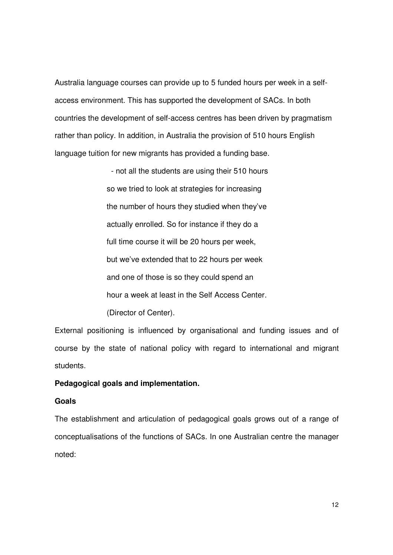Australia language courses can provide up to 5 funded hours per week in a selfaccess environment. This has supported the development of SACs. In both countries the development of self-access centres has been driven by pragmatism rather than policy. In addition, in Australia the provision of 510 hours English language tuition for new migrants has provided a funding base.

> - not all the students are using their 510 hours so we tried to look at strategies for increasing the number of hours they studied when they've actually enrolled. So for instance if they do a full time course it will be 20 hours per week, but we've extended that to 22 hours per week and one of those is so they could spend an hour a week at least in the Self Access Center. (Director of Center).

External positioning is influenced by organisational and funding issues and of course by the state of national policy with regard to international and migrant students.

## **Pedagogical goals and implementation.**

# **Goals**

The establishment and articulation of pedagogical goals grows out of a range of conceptualisations of the functions of SACs. In one Australian centre the manager noted: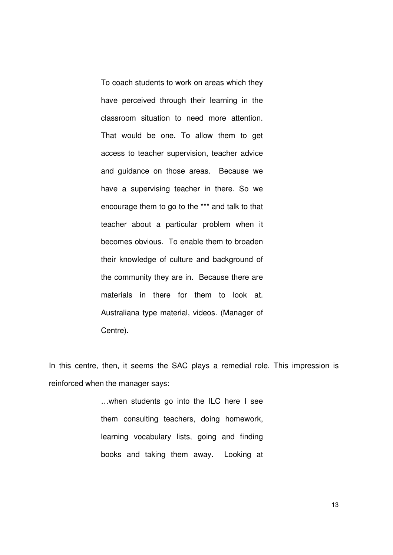To coach students to work on areas which they have perceived through their learning in the classroom situation to need more attention. That would be one. To allow them to get access to teacher supervision, teacher advice and guidance on those areas. Because we have a supervising teacher in there. So we encourage them to go to the \*\*\* and talk to that teacher about a particular problem when it becomes obvious. To enable them to broaden their knowledge of culture and background of the community they are in. Because there are materials in there for them to look at. Australiana type material, videos. (Manager of Centre).

In this centre, then, it seems the SAC plays a remedial role. This impression is reinforced when the manager says:

> …when students go into the ILC here I see them consulting teachers, doing homework, learning vocabulary lists, going and finding books and taking them away. Looking at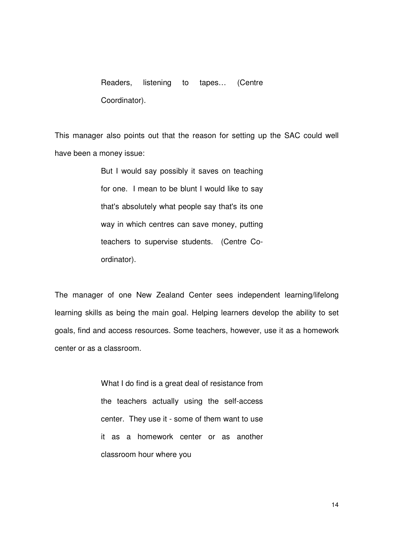Readers, listening to tapes… (Centre Coordinator).

This manager also points out that the reason for setting up the SAC could well have been a money issue:

> But I would say possibly it saves on teaching for one. I mean to be blunt I would like to say that's absolutely what people say that's its one way in which centres can save money, putting teachers to supervise students. (Centre Coordinator).

The manager of one New Zealand Center sees independent learning/lifelong learning skills as being the main goal. Helping learners develop the ability to set goals, find and access resources. Some teachers, however, use it as a homework center or as a classroom.

> What I do find is a great deal of resistance from the teachers actually using the self-access center. They use it - some of them want to use it as a homework center or as another classroom hour where you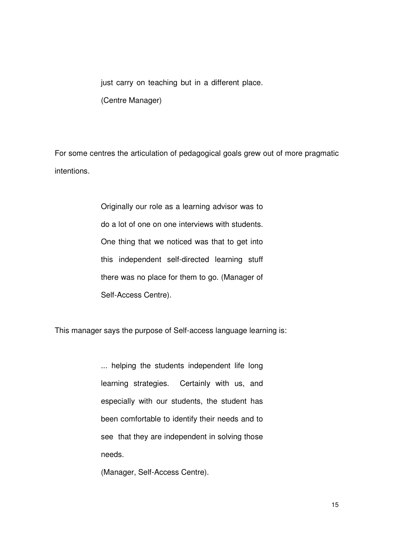just carry on teaching but in a different place. (Centre Manager)

For some centres the articulation of pedagogical goals grew out of more pragmatic intentions.

> Originally our role as a learning advisor was to do a lot of one on one interviews with students. One thing that we noticed was that to get into this independent self-directed learning stuff there was no place for them to go. (Manager of Self-Access Centre).

This manager says the purpose of Self-access language learning is:

... helping the students independent life long learning strategies. Certainly with us, and especially with our students, the student has been comfortable to identify their needs and to see that they are independent in solving those needs.

(Manager, Self-Access Centre).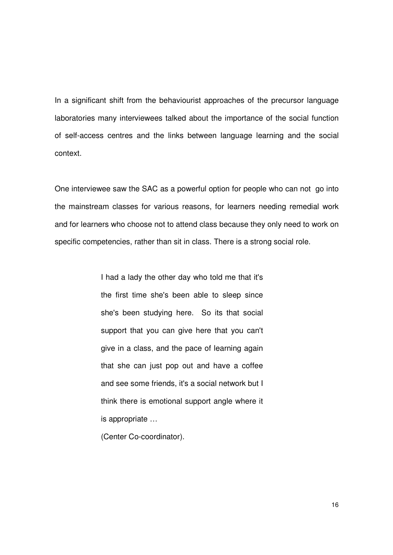In a significant shift from the behaviourist approaches of the precursor language laboratories many interviewees talked about the importance of the social function of self-access centres and the links between language learning and the social context.

One interviewee saw the SAC as a powerful option for people who can not go into the mainstream classes for various reasons, for learners needing remedial work and for learners who choose not to attend class because they only need to work on specific competencies, rather than sit in class. There is a strong social role.

> I had a lady the other day who told me that it's the first time she's been able to sleep since she's been studying here. So its that social support that you can give here that you can't give in a class, and the pace of learning again that she can just pop out and have a coffee and see some friends, it's a social network but I think there is emotional support angle where it is appropriate …

(Center Co-coordinator).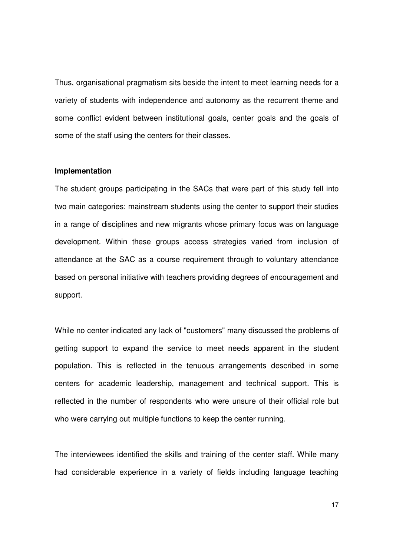Thus, organisational pragmatism sits beside the intent to meet learning needs for a variety of students with independence and autonomy as the recurrent theme and some conflict evident between institutional goals, center goals and the goals of some of the staff using the centers for their classes.

#### **Implementation**

The student groups participating in the SACs that were part of this study fell into two main categories: mainstream students using the center to support their studies in a range of disciplines and new migrants whose primary focus was on language development. Within these groups access strategies varied from inclusion of attendance at the SAC as a course requirement through to voluntary attendance based on personal initiative with teachers providing degrees of encouragement and support.

While no center indicated any lack of "customers" many discussed the problems of getting support to expand the service to meet needs apparent in the student population. This is reflected in the tenuous arrangements described in some centers for academic leadership, management and technical support. This is reflected in the number of respondents who were unsure of their official role but who were carrying out multiple functions to keep the center running.

The interviewees identified the skills and training of the center staff. While many had considerable experience in a variety of fields including language teaching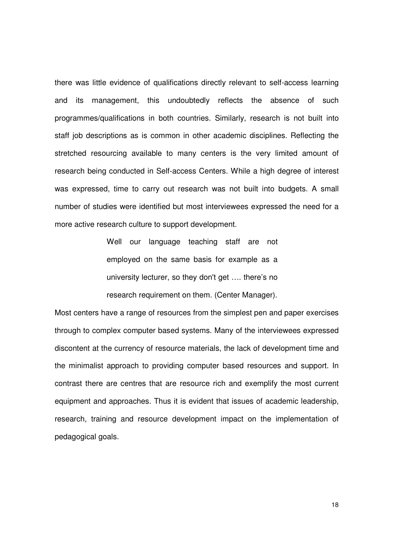there was little evidence of qualifications directly relevant to self-access learning and its management, this undoubtedly reflects the absence of such programmes/qualifications in both countries. Similarly, research is not built into staff job descriptions as is common in other academic disciplines. Reflecting the stretched resourcing available to many centers is the very limited amount of research being conducted in Self-access Centers. While a high degree of interest was expressed, time to carry out research was not built into budgets. A small number of studies were identified but most interviewees expressed the need for a more active research culture to support development.

> Well our language teaching staff are not employed on the same basis for example as a university lecturer, so they don't get …. there's no research requirement on them. (Center Manager).

Most centers have a range of resources from the simplest pen and paper exercises through to complex computer based systems. Many of the interviewees expressed discontent at the currency of resource materials, the lack of development time and the minimalist approach to providing computer based resources and support. In contrast there are centres that are resource rich and exemplify the most current equipment and approaches. Thus it is evident that issues of academic leadership, research, training and resource development impact on the implementation of pedagogical goals.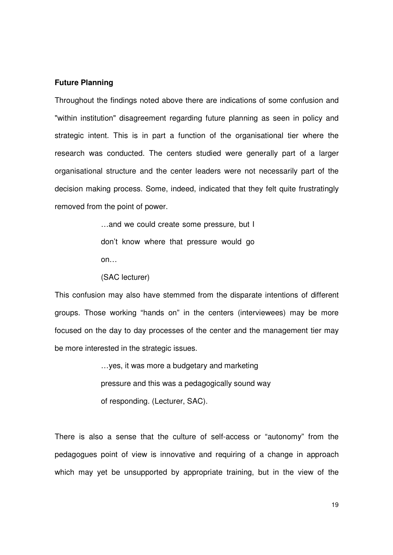## **Future Planning**

Throughout the findings noted above there are indications of some confusion and "within institution" disagreement regarding future planning as seen in policy and strategic intent. This is in part a function of the organisational tier where the research was conducted. The centers studied were generally part of a larger organisational structure and the center leaders were not necessarily part of the decision making process. Some, indeed, indicated that they felt quite frustratingly removed from the point of power.

> …and we could create some pressure, but I don't know where that pressure would go on…

#### (SAC lecturer)

This confusion may also have stemmed from the disparate intentions of different groups. Those working "hands on" in the centers (interviewees) may be more focused on the day to day processes of the center and the management tier may be more interested in the strategic issues.

> …yes, it was more a budgetary and marketing pressure and this was a pedagogically sound way of responding. (Lecturer, SAC).

There is also a sense that the culture of self-access or "autonomy" from the pedagogues point of view is innovative and requiring of a change in approach which may yet be unsupported by appropriate training, but in the view of the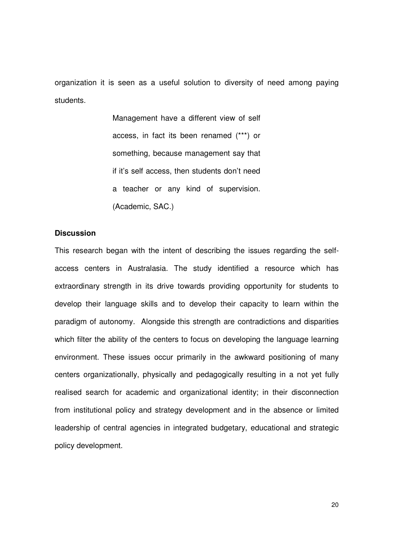organization it is seen as a useful solution to diversity of need among paying students.

> Management have a different view of self access, in fact its been renamed (\*\*\*) or something, because management say that if it's self access, then students don't need a teacher or any kind of supervision. (Academic, SAC.)

## **Discussion**

This research began with the intent of describing the issues regarding the selfaccess centers in Australasia. The study identified a resource which has extraordinary strength in its drive towards providing opportunity for students to develop their language skills and to develop their capacity to learn within the paradigm of autonomy. Alongside this strength are contradictions and disparities which filter the ability of the centers to focus on developing the language learning environment. These issues occur primarily in the awkward positioning of many centers organizationally, physically and pedagogically resulting in a not yet fully realised search for academic and organizational identity; in their disconnection from institutional policy and strategy development and in the absence or limited leadership of central agencies in integrated budgetary, educational and strategic policy development.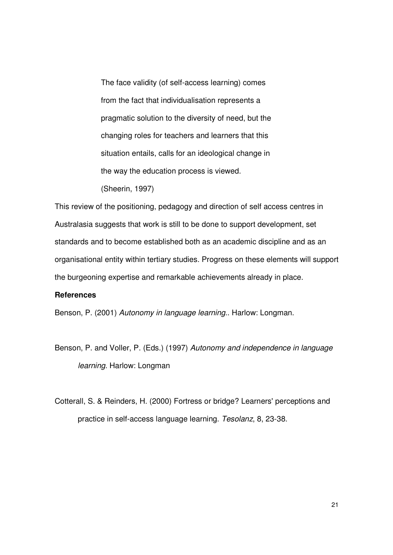The face validity (of self-access learning) comes from the fact that individualisation represents a pragmatic solution to the diversity of need, but the changing roles for teachers and learners that this situation entails, calls for an ideological change in the way the education process is viewed. (Sheerin, 1997)

This review of the positioning, pedagogy and direction of self access centres in Australasia suggests that work is still to be done to support development, set standards and to become established both as an academic discipline and as an organisational entity within tertiary studies. Progress on these elements will support the burgeoning expertise and remarkable achievements already in place.

## **References**

Benson, P. (2001) Autonomy in language learning.. Harlow: Longman.

Benson, P. and Voller, P. (Eds.) (1997) Autonomy and independence in language learning. Harlow: Longman

Cotterall, S. & Reinders, H. (2000) Fortress or bridge? Learners' perceptions and practice in self-access language learning. Tesolanz, 8, 23-38.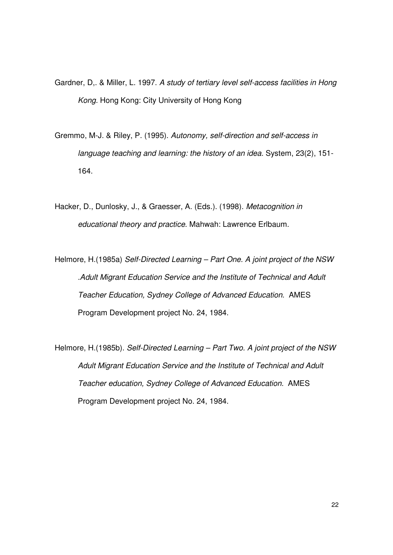- Gardner, D,. & Miller, L. 1997. A study of tertiary level self-access facilities in Hong Kong. Hong Kong: City University of Hong Kong
- Gremmo, M-J. & Riley, P. (1995). Autonomy, self-direction and self-access in language teaching and learning: the history of an idea. System, 23(2), 151- 164.
- Hacker, D., Dunlosky, J., & Graesser, A. (Eds.). (1998). Metacognition in educational theory and practice. Mahwah: Lawrence Erlbaum.
- Helmore, H.(1985a) Self-Directed Learning Part One. A joint project of the NSW .Adult Migrant Education Service and the Institute of Technical and Adult Teacher Education, Sydney College of Advanced Education. AMES Program Development project No. 24, 1984.
- Helmore, H.(1985b). Self-Directed Learning Part Two. A joint project of the NSW Adult Migrant Education Service and the Institute of Technical and Adult Teacher education, Sydney College of Advanced Education. AMES Program Development project No. 24, 1984.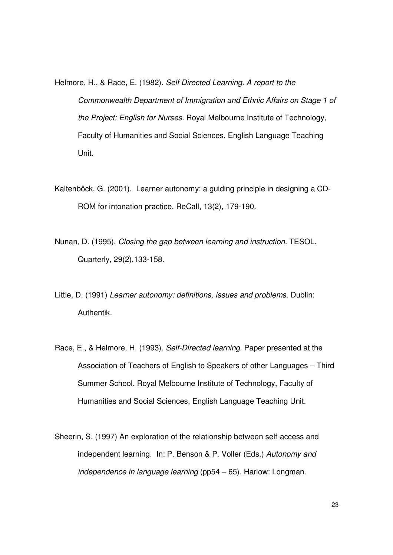Helmore, H., & Race, E. (1982). Self Directed Learning. A report to the Commonwealth Department of Immigration and Ethnic Affairs on Stage 1 of the Project: English for Nurses. Royal Melbourne Institute of Technology, Faculty of Humanities and Social Sciences, English Language Teaching Unit.

- Kaltenböck, G. (2001). Learner autonomy: a guiding principle in designing a CD-ROM for intonation practice. ReCall, 13(2), 179-190.
- Nunan, D. (1995). Closing the gap between learning and instruction. TESOL. Quarterly, 29(2),133-158.
- Little, D. (1991) Learner autonomy: definitions, issues and problems. Dublin: Authentik.
- Race, E., & Helmore, H. (1993). Self-Directed learning. Paper presented at the Association of Teachers of English to Speakers of other Languages – Third Summer School. Royal Melbourne Institute of Technology, Faculty of Humanities and Social Sciences, English Language Teaching Unit.
- Sheerin, S. (1997) An exploration of the relationship between self-access and independent learning. In: P. Benson & P. Voller (Eds.) Autonomy and independence in language learning (pp54 – 65). Harlow: Longman.